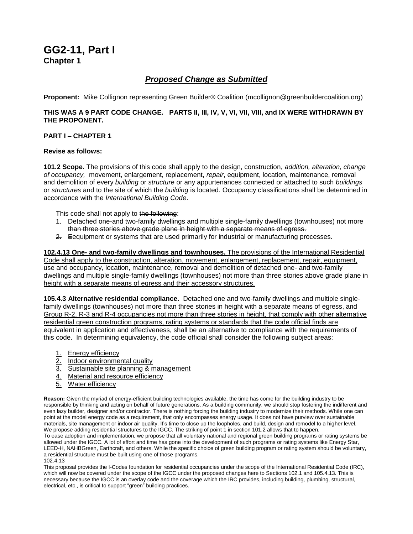# **GG2-11, Part I Chapter 1**

# *Proposed Change as Submitted*

**Proponent:** Mike Collignon representing Green Builder® Coalition (mcollignon@greenbuildercoalition.org)

# **THIS WAS A 9 PART CODE CHANGE. PARTS II, III, IV, V, VI, VII, VIII, and IX WERE WITHDRAWN BY THE PROPONENT.**

# **PART I – CHAPTER 1**

# **Revise as follows:**

**101.2 Scope.** The provisions of this code shall apply to the design, construction, *addition, alteration, change of occupancy,* movement, enlargement, replacement, *repair*, equipment, location, maintenance, removal and demolition of every *building* or *structure* or any appurtenances connected or attached to such *buildings*  or *structures* and to the site of which the *building* is located. Occupancy classifications shall be determined in accordance with the *International Building Code*.

This code shall not apply to the following:

- 1. Detached one-and two-family dwellings and multiple single-family dwellings (townhouses) not more than three stories above grade plane in height with a separate means of egress.
- 2. Eequipment or systems that are used primarily for industrial or manufacturing processes.

**102.4.13 One- and two-family dwellings and townhouses.** The provisions of the International Residential Code shall apply to the construction, alteration, movement, enlargement, replacement, repair, equipment, use and occupancy, location, maintenance, removal and demolition of detached one- and two-family dwellings and multiple single-family dwellings (townhouses) not more than three stories above grade plane in height with a separate means of egress and their accessory structures.

**105.4.3 Alternative residential compliance.** Detached one and two-family dwellings and multiple singlefamily dwellings (townhouses) not more than three stories in height with a separate means of egress, and Group R-2, R-3 and R-4 occupancies not more than three stories in height, that comply with other alternative residential green construction programs, rating systems or standards that the code official finds are equivalent in application and effectiveness, shall be an alternative to compliance with the requirements of this code. In determining equivalency, the code official shall consider the following subject areas:

- 1. Energy efficiency
- 2. Indoor environmental quality
- 3. Sustainable site planning & management
- 4. Material and resource efficiency
- 5. Water efficiency

**Reason:** Given the myriad of energy-efficient building technologies available, the time has come for the building industry to be responsible by thinking and acting on behalf of future generations. As a building community, we should stop fostering the indifferent and even lazy builder, designer and/or contractor. There is nothing forcing the building industry to modernize their methods. While one can point at the model energy code as a requirement, that only encompasses energy usage. It does not have purview over sustainable materials, site management or indoor air quality. It's time to close up the loopholes, and build, design and remodel to a higher level. We propose adding residential structures to the IGCC. The striking of point 1 in section 101.2 allows that to happen.

To ease adoption and implementation, we propose that all voluntary national and regional green building programs or rating systems be allowed under the IGCC. A lot of effort and time has gone into the development of such programs or rating systems like Energy Star, LEED-H, NAHBGreen, Earthcraft, and others. While the specific choice of green building program or rating system should be voluntary, a residential structure must be built using one of those programs. 102.4.13

This proposal provides the I-Codes foundation for residential occupancies under the scope of the International Residential Code (IRC), which will now be covered under the scope of the IGCC under the proposed changes here to Sections 102.1 and 105.4.13. This is necessary because the IGCC is an overlay code and the coverage which the IRC provides, including building, plumbing, structural, electrical, etc., is critical to support "green" building practices.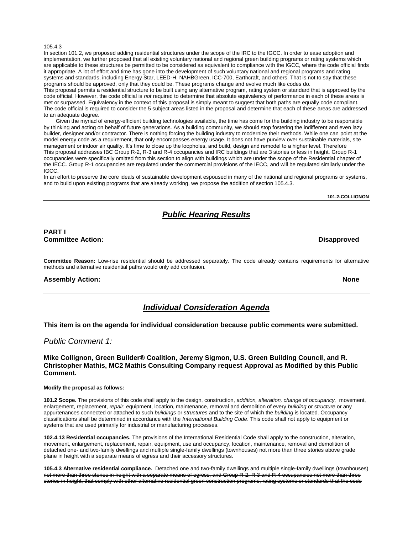#### 105.4.3

In section 101.2, we proposed adding residential structures under the scope of the IRC to the IGCC. In order to ease adoption and implementation, we further proposed that all existing voluntary national and regional green building programs or rating systems which are applicable to these structures be permitted to be considered as equivalent to compliance with the IGCC, where the code official finds it appropriate. A lot of effort and time has gone into the development of such voluntary national and regional programs and rating systems and standards, including Energy Star, LEED-H, NAHBGreen, ICC-700, Earthcraft, and others. That is not to say that these programs should be approved, only that they could be. These programs change and evolve much like codes do. This proposal permits a residential structure to be built using any alternative program, rating system or standard that is approved by the code official. However, the code official is *not* required to determine that absolute equivalency of performance in each of these areas is met or surpassed. Equivalency in the context of this proposal is simply meant to suggest that both paths are equally code compliant. The code official is required to consider the 5 subject areas listed in the proposal and determine that each of these areas are addressed to an adequate degree.

Given the myriad of energy-efficient building technologies available, the time has come for the building industry to be responsible by thinking and acting on behalf of future generations. As a building community, we should stop fostering the indifferent and even lazy builder, designer and/or contractor. There is nothing forcing the building industry to modernize their methods. While one can point at the model energy code as a requirement, that only encompasses energy usage. It does not have purview over sustainable materials, site management or indoor air quality. It's time to close up the loopholes, and build, design and remodel to a higher level. Therefore This proposal addresses IBC Group R-2, R-3 and R-4 occupancies and IRC buildings that are 3 stories or less in height. Group R-1 occupancies were specifically omitted from this section to align with buildings which are under the scope of the Residential chapter of the IECC. Group R-1 occupancies are regulated under the commercial provisions of the IECC, and will be regulated similarly under the IGCC.

In an effort to preserve the core ideals of sustainable development espoused in many of the national and regional programs or systems, and to build upon existing programs that are already working, we propose the addition of section 105.4.3.

**101.2-COLLIGNON**

# *Public Hearing Results*

# **PART I Committee Action: Disapproved**

**Committee Reason:** Low-rise residential should be addressed separately. The code already contains requirements for alternative methods and alternative residential paths would only add confusion.

### **Assembly Action: None**

*Individual Consideration Agenda*

**This item is on the agenda for individual consideration because public comments were submitted.**

# *Public Comment 1:*

**Mike Collignon, Green Builder® Coalition, Jeremy Sigmon, U.S. Green Building Council, and R. Christopher Mathis, MC2 Mathis Consulting Company request Approval as Modified by this Public Comment.**

#### **Modify the proposal as follows:**

**101.2 Scope.** The provisions of this code shall apply to the design, construction, *addition, alteration, change of occupancy,* movement, enlargement, replacement, *repair*, equipment, location, maintenance, removal and demolition of every *building* or *structure* or any appurtenances connected or attached to such *buildings* or *structures* and to the site of which the *building* is located. Occupancy classifications shall be determined in accordance with the *International Building Code*. This code shall not apply to equipment or systems that are used primarily for industrial or manufacturing processes.

**102.4.13 Residential occupancies.** The provisions of the International Residential Code shall apply to the construction, alteration, movement, enlargement, replacement, repair, equipment, use and occupancy, location, maintenance, removal and demolition of detached one- and two-family dwellings and multiple single-family dwellings (townhouses) not more than three stories above grade plane in height with a separate means of egress and their accessory structures.

**105.4.3 Alternative residential compliance.** Detached one and two-family dwellings and multiple single-family dwellings (townhouses) not more than three stories in height with a separate means of egress, and Group R-2, R-3 and R-4 occupancies not more than three stories in height, that comply with other alternative residential green construction programs, rating systems or standards that the code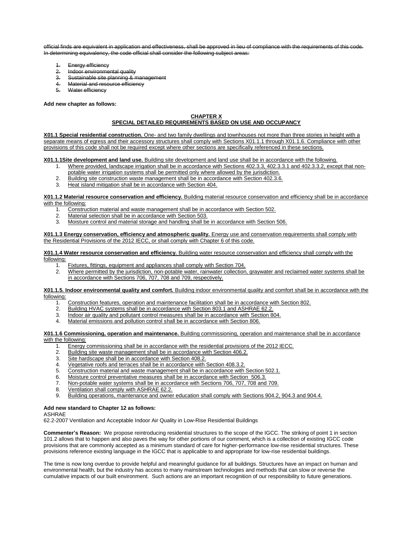official finds are equivalent in application and effectiveness, shall be approved in lieu of compliance with the requirements of this code. In determining equivalency, the code official shall consider the following subject areas:

- 1. Energy efficiency<br>2. Indoor environment
- Indoor environmental quality
- 3. Sustainable site planning & management
- 4. Material and resource efficiency
- 5. Water efficiency

### **Add new chapter as follows:**

### **CHAPTER X**

# **SPECIAL DETAILED REQUIREMENTS BASED ON USE AND OCCUPANCY**

**X01.1 Special residential construction.** One- and two family dwellings and townhouses not more than three stories in height with a separate means of egress and their accessory structures shall comply with Sections X01.1.1 through X01.1.6. Compliance with other provisions of this code shall not be required except where other sections are specifically referenced in these sections.

**X01.1.1Site development and land use.** Building site development and land use shall be in accordance with the following.

- 1. Where provided, landscape irrigation shall be in accordance with Sections 402.3.3, 402.3.3.1 and 402.3.3.2, except that nonpotable water irrigation systems shall be permitted only where allowed by the jurisdiction.
- 2. Building site construction waste management shall be in accordance with Section 402.3.6.
- 3. Heat island mitigation shall be in accordance with Section 404.

#### **X01.1.2 Material resource conservation and efficiency.** Building material resource conservation and efficiency shall be in accordance with the following:

- 1. Construction material and waste management shall be in accordance with Section 502.<br>2. Material selection shall be in accordance with Section 503.
- Material selection shall be in accordance with Section 503.
- 3. Moisture control and material storage and handling shall be in accordance with Section 506.

### **X01.1.3 Energy conservation, efficiency and atmospheric quality.** Energy use and conservation requirements shall comply with the Residential Provisions of the 2012 IECC, or shall comply with Chapter 6 of this code.

#### **X01.1.4 Water resource conservation and efficiency.** Building water resource conservation and efficiency shall comply with the following:

- 1. Fixtures, fittings, equipment and appliances shall comply with Section 704.
- 2. Where permitted by the jurisdiction, non-potable water, rainwater collection, graywater and reclaimed water systems shall be in accordance with Sections 706, 707, 708 and 709, respectively.

**X01.1.5. Indoor environmental quality and comfort.** Building indoor environmental quality and comfort shall be in accordance with the following:

- 1. Construction features, operation and maintenance facilitation shall be in accordance with Section 802.<br>2. Building HVAC systems shall be in accordance with Section 803.1 and ASHRAF 62.2.
- Building HVAC systems shall be in accordance with Section 803.1 and ASHRAE 62.2.
- 3. Indoor air quality and pollutant control measures shall be in accordance with Section 804.
- 4. Material emissions and pollution control shall be in accordance with Section 806.

#### **X01.1.6 Commissioning, operation and maintenance.** Building commissioning, operation and maintenance shall be in accordance with the following:

- 1. Energy commissioning shall be in accordance with the residential provisions of the 2012 IECC.<br>2. Building site waste management shall be in accordance with Section 406.2.
- Building site waste management shall be in accordance with Section 406.2.
- 3. Site hardscape shall be in accordance with Section 408.2.
- 4. Vegetative roofs and terraces shall be in accordance with Section 408.3.2.
- 
- 5. Construction material and waste management shall be in accordance with Section 502.1.<br>6. Moisture control preventative measures shall be in accordance with Section 506.3. Moisture control preventative measures shall be in accordance with Section 506.3.
- 7. Non-potable water systems shall be in accordance with Sections 706, 707, 708 and 709.
- 8. Ventilation shall comply with ASHRAE 62.2.
- 
- 9. Building operations, maintenance and owner education shall comply with Sections 904.2, 904.3 and 904.4.

# **Add new standard to Chapter 12 as follows:**

ASHRAE

62.2-2007 Ventilation and Acceptable Indoor Air Quality in Low-Rise Residential Buildings

**Commenter's Reason:** We propose reintroducing residential structures to the scope of the IGCC. The striking of point 1 in section 101.2 allows that to happen and also paves the way for other portions of our comment, which is a collection of existing IGCC code provisions that are commonly accepted as a minimum standard of care for higher-performance low-rise residential structures. These provisions reference existing language in the IGCC that is applicable to and appropriate for low-rise residential buildings.

The time is now long overdue to provide helpful and meaningful guidance for all buildings. Structures have an impact on human and environmental health, but the industry has access to many mainstream technologies and methods that can slow or reverse the cumulative impacts of our built environment. Such actions are an important recognition of our responsibility to future generations.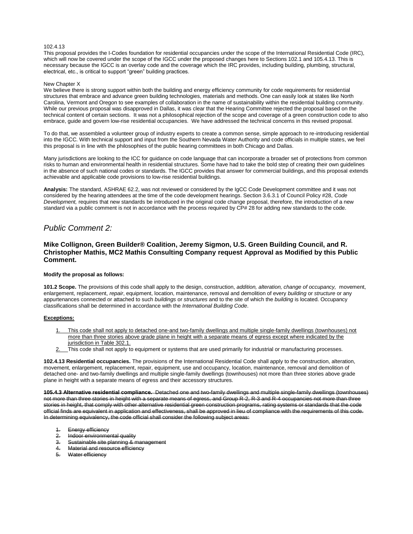#### 102.4.13

This proposal provides the I-Codes foundation for residential occupancies under the scope of the International Residential Code (IRC), which will now be covered under the scope of the IGCC under the proposed changes here to Sections 102.1 and 105.4.13. This is necessary because the IGCC is an overlay code and the coverage which the IRC provides, including building, plumbing, structural, electrical, etc., is critical to support "green" building practices.

#### New Chapter X

We believe there is strong support within both the building and energy efficiency community for code requirements for residential structures that embrace and advance green building technologies, materials and methods. One can easily look at states like North Carolina, Vermont and Oregon to see examples of collaboration in the name of sustainability within the residential building community. While our previous proposal was disapproved in Dallas, it was clear that the Hearing Committee rejected the proposal based on the technical content of certain sections. It was not a philosophical rejection of the scope and coverage of a green construction code to also embrace, guide and govern low-rise residential occupancies. We have addressed the technical concerns in this revised proposal.

To do that, we assembled a volunteer group of industry experts to create a common sense, simple approach to re-introducing residential into the IGCC. With technical support and input from the Southern Nevada Water Authority and code officials in multiple states, we feel this proposal is in line with the philosophies of the public hearing committees in both Chicago and Dallas.

Many jurisdictions are looking to the ICC for guidance on code language that can incorporate a broader set of protections from common risks to human and environmental health in residential structures. Some have had to take the bold step of creating their own guidelines in the absence of such national codes or standards. The IGCC provides that answer for commercial buildings, and this proposal extends achievable and applicable code provisions to low-rise residential buildings.

**Analysis:** The standard, ASHRAE 62.2, was not reviewed or considered by the IgCC Code Development committee and it was not considered by the hearing attendees at the time of the code development hearings. Section 3.6.3.1 of Council Policy #28, *Code Development,* requires that new standards be introduced in the original code change proposal, therefore, the introduction of a new standard via a public comment is not in accordance with the process required by CP# 28 for adding new standards to the code.

# *Public Comment 2:*

# **Mike Collignon, Green Builder® Coalition, Jeremy Sigmon, U.S. Green Building Council, and R. Christopher Mathis, MC2 Mathis Consulting Company request Approval as Modified by this Public Comment.**

### **Modify the proposal as follows:**

**101.2 Scope.** The provisions of this code shall apply to the design, construction, *addition, alteration, change of occupancy,* movement, enlargement, replacement, *repair*, equipment, location, maintenance, removal and demolition of every *building* or *structure* or any appurtenances connected or attached to such *buildings* or *structures* and to the site of which the *building* is located. Occupancy classifications shall be determined in accordance with the *International Building Code*.

#### **Exceptions:**

- 1. This code shall not apply to detached one-and two-family dwellings and multiple single-family dwellings (townhouses) not more than three stories above grade plane in height with a separate means of egress except where indicated by the jurisdiction in Table 302.1.
- This code shall not apply to equipment or systems that are used primarily for industrial or manufacturing processes.

**102.4.13 Residential occupancies.** The provisions of the International Residential Code shall apply to the construction, alteration, movement, enlargement, replacement, repair, equipment, use and occupancy, location, maintenance, removal and demolition of detached one- and two-family dwellings and multiple single-family dwellings (townhouses) not more than three stories above grade plane in height with a separate means of egress and their accessory structures.

**105.4.3 Alternative residential compliance.** Detached one and two-family dwellings and multiple single-family dwellings (townhouses) not more than three stories in height with a separate means of egress, and Group R-2, R-3 and R-4 occupancies not more than three stories in height, that comply with other alternative residential green construction programs, rating systems or standards that the code official finds are equivalent in application and effectiveness, shall be approved in lieu of compliance with the requirements of this code. In determining equivalency, the code official shall consider the following subject areas:

- Energy efficiency
- 2. Indoor environmental quality
- 3. Sustainable site planning & management
- 4. Material and resource efficiency
- Water efficiency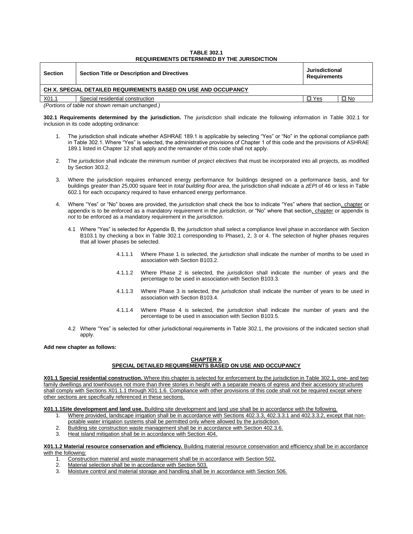### **TABLE 302.1 REQUIREMENTS DETERMINED BY THE JURISDICTION**

| <b>Section</b>                                                 | <b>Section Title or Description and Directives</b> | Jurisdictional<br>Requirements |      |
|----------------------------------------------------------------|----------------------------------------------------|--------------------------------|------|
| CH X. SPECIAL DETAILED REQUIREMENTS BASED ON USE AND OCCUPANCY |                                                    |                                |      |
| <u>X01.1</u>                                                   | Special residential construction                   | $\Box$ Yes                     | □ No |
| (Portions of table not shown remain unchanged.)                |                                                    |                                |      |

**302.1 Requirements determined by the jurisdiction.** The *jurisdiction* shall indicate the following information in Table 302.1 for inclusion in its code adopting ordinance:

- 1. The jurisdiction shall indicate whether ASHRAE 189.1 is applicable by selecting "Yes" or "No" in the optional compliance path in Table 302.1. Where "Yes" is selected, the administrative provisions of Chapter 1 of this code and the provisions of ASHRAE 189.1 listed in Chapter 12 shall apply and the remainder of this code shall not apply.
- 2. The *jurisdiction* shall indicate the minimum number of *project electives* that must be incorporated into all projects, as modified by Section 303.2.
- 3. Where the jurisdiction requires enhanced energy performance for buildings designed on a performance basis, and for buildings greater than 25,000 square feet in *total building floor area*, the jurisdiction shall indicate a *zEPI* of 46 or less in Table 602.1 for each occupancy required to have enhanced energy performance.
- 4. Where "Yes" or "No" boxes are provided, the *jurisdiction* shall check the box to indicate "Yes" where that section, chapter or appendix is to be enforced as a mandatory requirement in the *jurisdiction*, or "No" where that section, chapter or appendix is *not* to be enforced as a mandatory requirement in the *jurisdiction*.
	- 4.1 Where "Yes" is selected for Appendix B, the *jurisdiction* shall select a compliance level phase in accordance with Section B103.1 by checking a box in Table 302.1 corresponding to Phase1, 2, 3 or 4. The selection of higher phases requires that all lower phases be selected.
		- 4.1.1.1 Where Phase 1 is selected, the *jurisdiction* shall indicate the number of months to be used in association with Section B103.2.
		- 4.1.1.2 Where Phase 2 is selected, the *jurisdiction* shall indicate the number of years and the percentage to be used in association with Section B103.3.
		- 4.1.1.3 Where Phase 3 is selected, the *jurisdiction* shall indicate the number of years to be used in association with Section B103.4.
		- 4.1.1.4 Where Phase 4 is selected, the *jurisdiction* shall indicate the number of years and the percentage to be used in association with Section B103.5.
	- 4.2 Where "Yes" is selected for other jurisdictional requirements in Table 302.1, the provisions of the indicated section shall apply.

# **Add new chapter as follows:**

# **CHAPTER X SPECIAL DETAILED REQUIREMENTS BASED ON USE AND OCCUPANCY**

**X01.1 Special residential construction.** Where this chapter is selected for enforcement by the jurisdiction in Table 302.1, one- and two family dwellings and townhouses not more than three stories in height with a separate means of egress and their accessory structures shall comply with Sections X01.1.1 through X01.1.6. Compliance with other provisions of this code shall not be required except where other sections are specifically referenced in these sections.

**X01.1.1Site development and land use.** Building site development and land use shall be in accordance with the following.

- 1. Where provided, landscape irrigation shall be in accordance with Sections 402.3.3, 402.3.3.1 and 402.3.3.2, except that nonpotable water irrigation systems shall be permitted only where allowed by the jurisdiction.
- 2. Building site construction waste management shall be in accordance with Section 402.3.6.
- 3. Heat island mitigation shall be in accordance with Section 404.

**X01.1.2 Material resource conservation and efficiency.** Building material resource conservation and efficiency shall be in accordance with the following:

- 1. Construction material and waste management shall be in accordance with Section 502.<br>2. Material selection shall be in accordance with Section 503.
- Material selection shall be in accordance with Section 503.
- 3. Moisture control and material storage and handling shall be in accordance with Section 506.